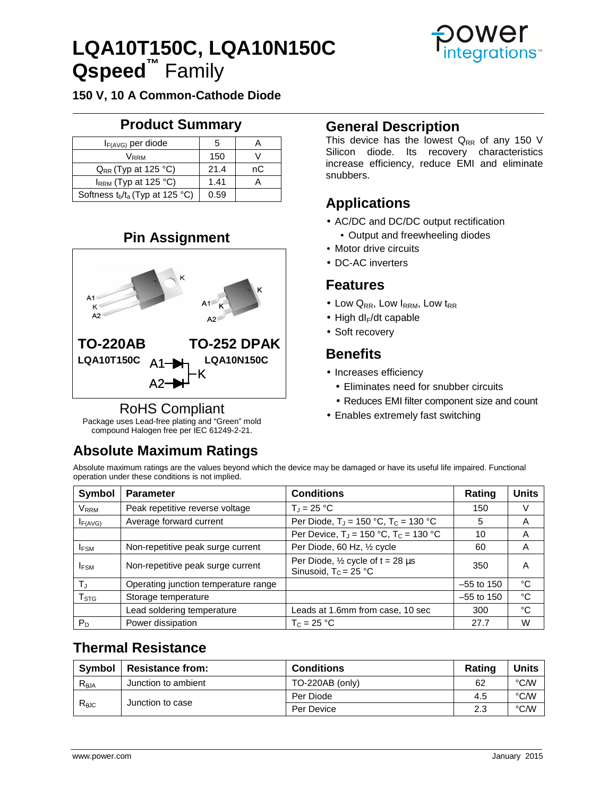# **LQA10T150C, LQA10N150C Qspeed™** Family



**150 V, 10 A Common-Cathode Diode** 

# **Product Summary**

| $I_{F(A\vee G)}$ per diode         | 5    |    |
|------------------------------------|------|----|
| Vrrm                               | 150  |    |
| $Q_{RR}$ (Typ at 125 °C)           | 21.4 | nС |
| IRRM (Typ at 125 °C)               | 1.41 |    |
| Softness $t_b/t_a$ (Typ at 125 °C) | 0.59 |    |

# **Pin Assignment**



## RoHS Compliant

Package uses Lead-free plating and "Green" mold compound Halogen free per IEC 61249-2-21.

# **Absolute Maximum Ratings**

## **General Description**

This device has the lowest  $Q_{RR}$  of any 150 V Silicon diode. Its recovery characteristics increase efficiency, reduce EMI and eliminate snubbers.

# **Applications**

- AC/DC and DC/DC output rectification
	- Output and freewheeling diodes
- Motor drive circuits
- DC-AC inverters

### **Features**

- Low  $Q_{RR}$ , Low  $I_{RRM}$ , Low  $t_{RR}$
- $\bullet$  High dl<sub>F</sub>/dt capable
- Soft recovery

## **Benefits**

- Increases efficiency
	- Eliminates need for snubber circuits
	- Reduces EMI filter component size and count
- Enables extremely fast switching

Absolute maximum ratings are the values beyond which the device may be damaged or have its useful life impaired. Functional operation under these conditions is not implied.

| <b>Symbol</b>    | <b>Parameter</b>                     | <b>Conditions</b>                                                           | Rating       | <b>Units</b> |
|------------------|--------------------------------------|-----------------------------------------------------------------------------|--------------|--------------|
| <b>VRRM</b>      | Peak repetitive reverse voltage      | $T_J = 25 °C$                                                               | 150          | V            |
| IF(AVG)          | Average forward current              | Per Diode, $T_J = 150 °C$ , $T_c = 130 °C$                                  | 5            | A            |
|                  |                                      | Per Device, $T_J = 150 °C$ , $T_c = 130 °C$                                 | 10           | A            |
| <b>IFSM</b>      | Non-repetitive peak surge current    | Per Diode, 60 Hz, 1/2 cycle                                                 | 60           | A            |
| <b>IFSM</b>      | Non-repetitive peak surge current    | Per Diode, $\frac{1}{2}$ cycle of t = 28 $\mu$ s<br>Sinusoid, $T_c = 25 °C$ | 350          | А            |
| $T_{\rm J}$      | Operating junction temperature range |                                                                             | $-55$ to 150 | °C           |
| T <sub>STG</sub> | Storage temperature                  |                                                                             | $-55$ to 150 | °C           |
|                  | Lead soldering temperature           | Leads at 1.6mm from case, 10 sec                                            | 300          | °C           |
| $P_D$            | Power dissipation                    | $T_c = 25 °C$                                                               | 27.7         | W            |

## **Thermal Resistance**

| <b>Symbol</b> | <b>Resistance from:</b> | <b>Conditions</b> | Rating | <b>Units</b> |
|---------------|-------------------------|-------------------|--------|--------------|
| $R_{AJA}$     | Junction to ambient     | TO-220AB (only)   | 62     | °C/W         |
| $R_{AJC}$     | Junction to case        | Per Diode         | 4.5    | °C/W         |
|               |                         | Per Device        | 2.3    | °C/W         |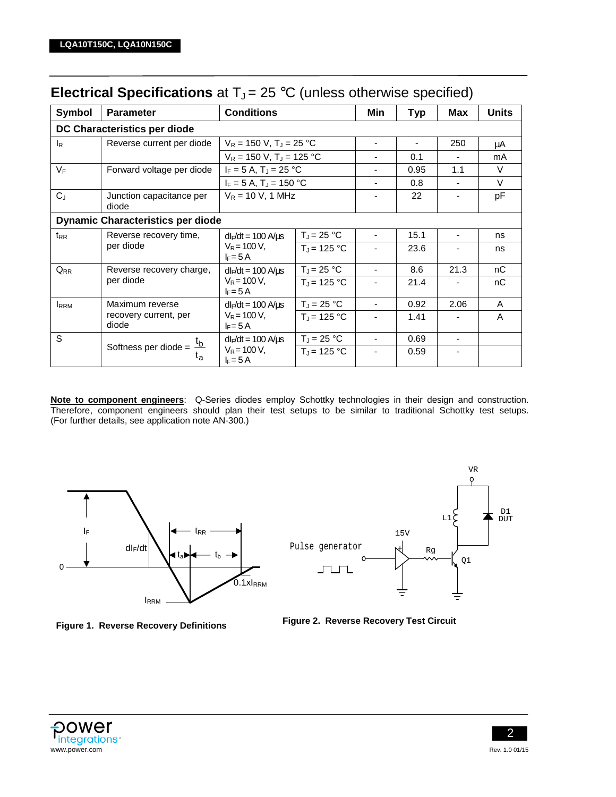| Symbol                                                               | <b>Parameter</b>                  | <b>Conditions</b>                       |                                       | Min                      | <b>Typ</b> | <b>Max</b>               | <b>Units</b> |  |
|----------------------------------------------------------------------|-----------------------------------|-----------------------------------------|---------------------------------------|--------------------------|------------|--------------------------|--------------|--|
|                                                                      | DC Characteristics per diode      |                                         |                                       |                          |            |                          |              |  |
| l <sub>R</sub>                                                       | Reverse current per diode         |                                         | $V_R$ = 150 V, T <sub>J</sub> = 25 °C |                          |            | 250                      | μA           |  |
|                                                                      |                                   | $V_R = 150 V$ , T <sub>J</sub> = 125 °C |                                       |                          | 0.1        |                          | mA           |  |
| $V_F$                                                                | Forward voltage per diode         |                                         | $I_F = 5 A$ , $T_J = 25 °C$           |                          | 0.95       | 1.1                      | $\vee$       |  |
|                                                                      |                                   | $I_F = 5 A$ , T <sub>J</sub> = 150 °C   |                                       |                          | 0.8        |                          | $\vee$       |  |
| $C_J$                                                                | Junction capacitance per<br>diode | $V_R$ = 10 V, 1 MHz                     |                                       |                          | 22         | $\overline{\phantom{a}}$ | рF           |  |
| <b>Dynamic Characteristics per diode</b>                             |                                   |                                         |                                       |                          |            |                          |              |  |
| $t_{RR}$                                                             | Reverse recovery time,            | $dl_F/dt = 100$ A/us                    | $T_J = 25 °C$                         |                          | 15.1       |                          | ns           |  |
| per diode                                                            | $V_R$ = 100 V,<br>$I_F = 5A$      | $T_{J}$ = 125 °C                        |                                       | 23.6                     |            | ns                       |              |  |
| $Q_{RR}$                                                             | Reverse recovery charge,          | $dl_F/dt = 100 \text{ A} \mu \text{s}$  | $T_J = 25 °C$                         |                          | 8.6        | 21.3                     | nC           |  |
|                                                                      | per diode                         | $V_R$ = 100 V,<br>$I_F = 5A$            | $T_{J}$ = 125 °C                      |                          | 21.4       |                          | nС           |  |
| <b>IRRM</b>                                                          | Maximum reverse                   | $dl_F/dt = 100$ A/ $\mu$ s              | $T_J = 25 °C$                         |                          | 0.92       | 2.06                     | A            |  |
|                                                                      | recovery current, per<br>diode    | $V_R$ = 100 V,<br>$F = 5A$              | $T_J = 125 °C$                        |                          | 1.41       |                          | A            |  |
| S                                                                    |                                   | $dl_F/dt = 100$ A/ $\mu$ s              | $T_J = 25 °C$                         |                          | 0.69       | ٠                        |              |  |
| Softness per diode = $\frac{t_b}{t_a}$<br>$V_R$ = 100 V,<br>$F = 5A$ | $T_J = 125 °C$                    |                                         | 0.59                                  | $\overline{\phantom{a}}$ |            |                          |              |  |

# **Electrical Specifications** at  $T_J = 25$  °C (unless otherwise specified)

**Note to component engineers**: Q-Series diodes employ Schottky technologies in their design and construction. Therefore, component engineers should plan their test setups to be similar to traditional Schottky test setups. (For further details, see application note AN-300.)









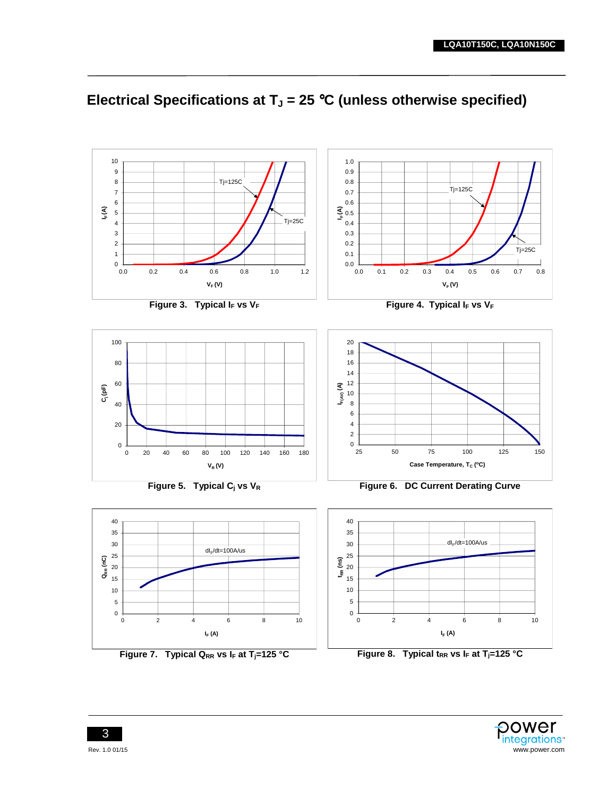

# **Electrical Specifications at TJ = 25** °**C (unless otherwise specified)**



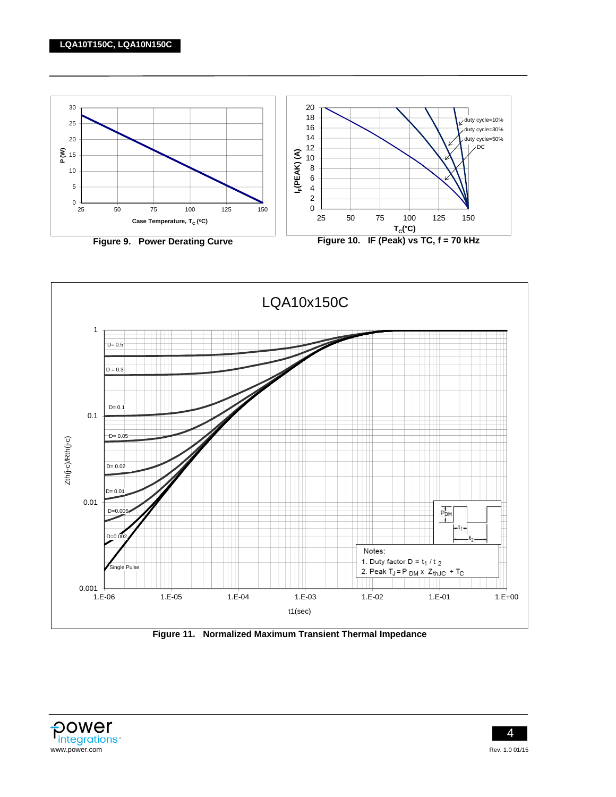



**Figure 11. Normalized Maximum Transient Thermal Impedance** 



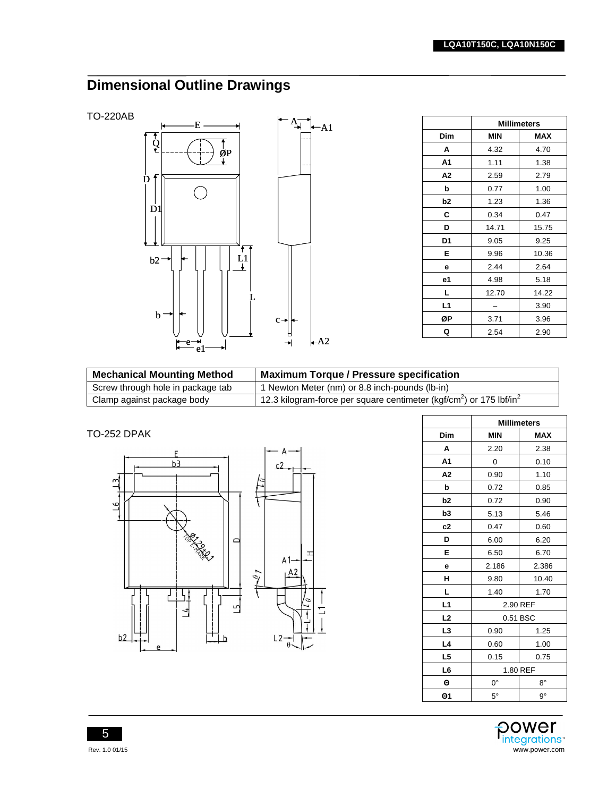# **Dimensional Outline Drawings**

TO-220AB



|                | <b>Millimeters</b> |            |  |
|----------------|--------------------|------------|--|
| <b>Dim</b>     | <b>MIN</b>         | <b>MAX</b> |  |
| A              | 4.32               | 4.70       |  |
| A <sub>1</sub> | 1.11               | 1.38       |  |
| A <sub>2</sub> | 2.59               | 2.79       |  |
| b              | 0.77               | 1.00       |  |
| b <sub>2</sub> | 1.23               | 1.36       |  |
| C              | 0.34               | 0.47       |  |
| D              | 14.71              | 15.75      |  |
| D1             | 9.05               | 9.25       |  |
| E              | 9.96               | 10.36      |  |
| е              | 2.44               | 2.64       |  |
| e1             | 4.98               | 5.18       |  |
| L              | 12.70              | 14.22      |  |
| L1             |                    | 3.90       |  |
| ØΡ             | 3.71               | 3.96       |  |
| Q              | 2.54               | 2.90       |  |

| <b>Mechanical Mounting Method</b> | <b>Maximum Torque / Pressure specification</b>                                              |
|-----------------------------------|---------------------------------------------------------------------------------------------|
| Screw through hole in package tab | 1 Newton Meter (nm) or 8.8 inch-pounds (lb-in)                                              |
| Clamp against package body        | 12.3 kilogram-force per square centimeter (kgf/cm <sup>2</sup> ) or 175 lbf/in <sup>2</sup> |

TO-252 DPAK



|                | <b>Millimeters</b>       |             |  |
|----------------|--------------------------|-------------|--|
| Dim            | <b>MIN</b><br><b>MAX</b> |             |  |
| A              | 2.20                     | 2.38        |  |
| A <sub>1</sub> | 0                        | 0.10        |  |
| A <sub>2</sub> | 0.90                     | 1.10        |  |
| þ              | 0.72                     | 0.85        |  |
| b2             | 0.72                     | 0.90        |  |
| b <sub>3</sub> | 5.13                     | 5.46        |  |
| c2             | 0.47                     | 0.60        |  |
| D              | 6.00                     | 6.20        |  |
| Е              | 6.50                     | 6.70        |  |
| e              | 2.186                    | 2.386       |  |
| н              | 9.80                     | 10.40       |  |
| L              | 1.40                     | 1.70        |  |
| L1             | 2.90 REF                 |             |  |
| L <sub>2</sub> |                          | 0.51 BSC    |  |
| L <sub>3</sub> | 0.90                     | 1.25        |  |
| L4             | 0.60                     | 1.00        |  |
| L <sub>5</sub> | 0.15                     | 0.75        |  |
| L <sub>6</sub> | 1.80 REF                 |             |  |
| Θ              | 0°                       | $8^{\circ}$ |  |
| Θ1             | $5^\circ$                | $9^{\circ}$ |  |



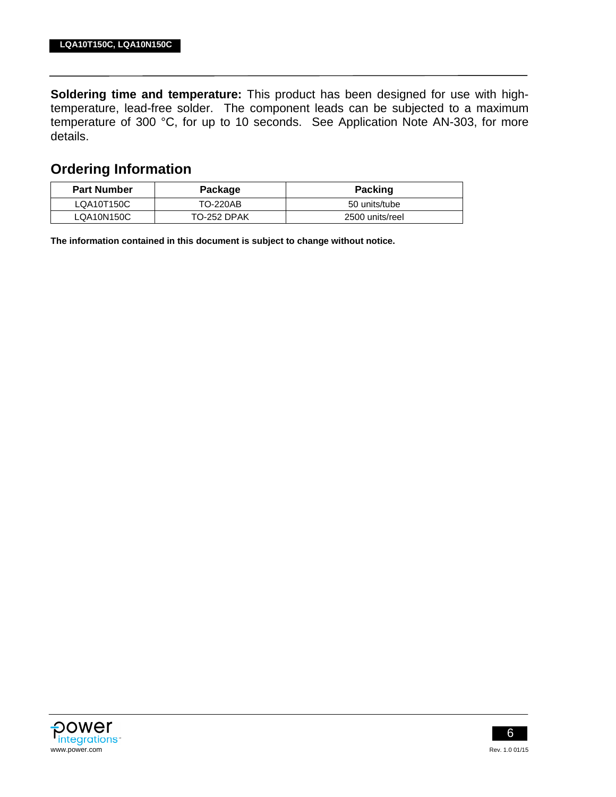**Soldering time and temperature:** This product has been designed for use with hightemperature, lead-free solder. The component leads can be subjected to a maximum temperature of 300 °C, for up to 10 seconds. See Application Note AN-303, for more details.

### **Ordering Information**

| <b>Part Number</b> | Package     | <b>Packing</b>  |
|--------------------|-------------|-----------------|
| LQA10T150C         | TO-220AB    | 50 units/tube   |
| LQA10N150C         | TO-252 DPAK | 2500 units/reel |

**The information contained in this document is subject to change without notice.**



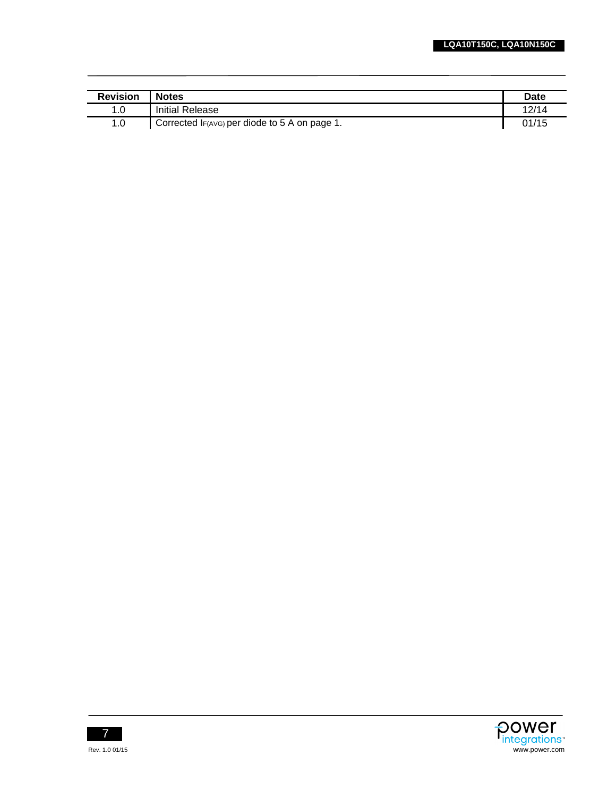| <b>Revision</b> | <b>Notes</b>                                  | Date  |
|-----------------|-----------------------------------------------|-------|
| 1.0             | Initial Release                               | 12/14 |
| 1.0             | Corrected IF(AVG) per diode to 5 A on page 1. | 01/15 |